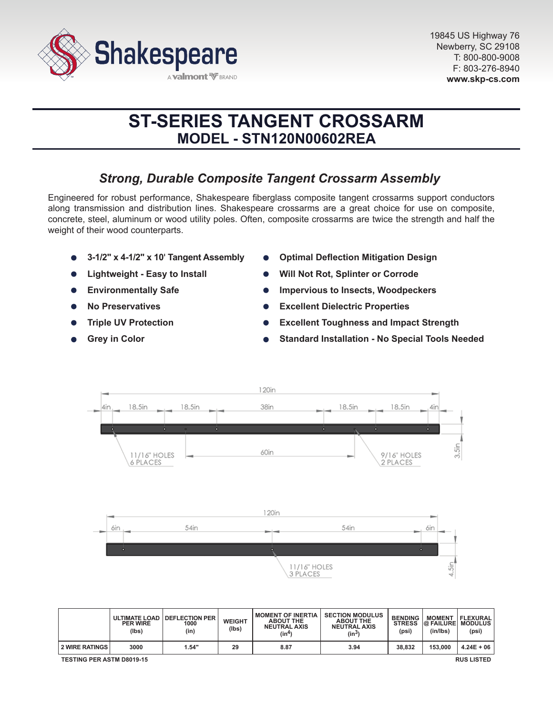

# **ST-SERIES TANGENT CROSSARM MODEL - STN120N00602REA**

# *Strong, Durable Composite Tangent Crossarm Assembly*

Engineered for robust performance, Shakespeare fiberglass composite tangent crossarms support conductors along transmission and distribution lines. Shakespeare crossarms are a great choice for use on composite, concrete, steel, aluminum or wood utility poles. Often, composite crossarms are twice the strength and half the weight of their wood counterparts.

- **3-1/2" x 4-1/2" x 10' Tangent Assembly**
- **Lightweight Easy to Install**
- **Environmentally Safe**  $\bullet$
- **No Preservatives**
- **Triple UV Protection**
- **Grey in Color**
- **Optimal Deflection Mitigation Design**
- **Will Not Rot, Splinter or Corrode**
- **Impervious to Insects, Woodpeckers**
- **Excellent Dielectric Properties**
- **Excellent Toughness and Impact Strength**
- **Standard Installation No Special Tools Needed**



|                                                       | <b>PER WIRE</b><br>(lbs) | ULTIMATE LOAD DEFLECTION PER<br>1000<br>(in) | <b>WEIGHT</b><br>(Ibs) | <b>MOMENT OF INERTIA</b><br><b>ABOUT THE</b><br><b>NEUTRAL AXIS</b><br>(in4) | <b>SECTION MODULUS</b><br><b>ABOUT THE</b><br><b>NEUTRAL AXIS</b><br>$(in^3)$ | <b>BENDING</b><br><b>STRESS</b><br>(psi) | <b>MOMENT</b><br><b>@ FAILURE MODULUS</b><br>(in/lbs) | <b>FLEXURAL</b><br>(psi) |
|-------------------------------------------------------|--------------------------|----------------------------------------------|------------------------|------------------------------------------------------------------------------|-------------------------------------------------------------------------------|------------------------------------------|-------------------------------------------------------|--------------------------|
| I 2 WIRE RATINGS I                                    | 3000                     | 1.54"                                        | 29                     | 8.87                                                                         | 3.94                                                                          | 38.832                                   | 153,000                                               | $4.24E + 06$             |
| <b>TESTING PER ASTM D8019-15</b><br><b>RUS LISTED</b> |                          |                                              |                        |                                                                              |                                                                               |                                          |                                                       |                          |